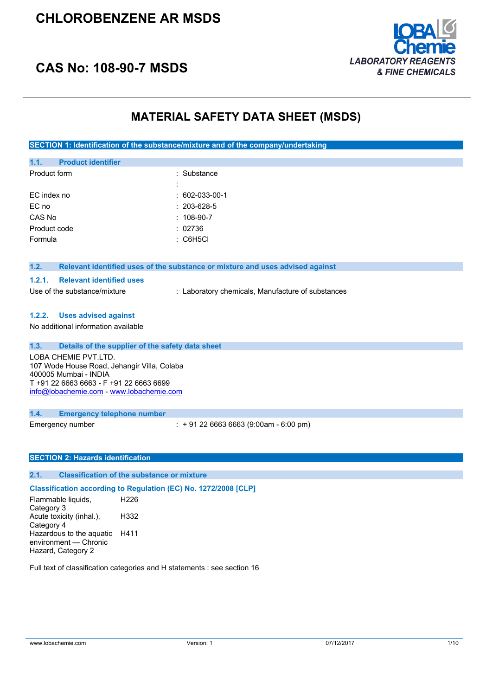### **CHLOROBENZENE AR MSDS**



### **CAS No: 108-90-7 MSDS**

### **MATERIAL SAFETY DATA SHEET (MSDS)**

**SECTION 1: Identification of the substance/mixture and of the company/undertaking**

| 1.1.         | <b>Product identifier</b> |   |                     |
|--------------|---------------------------|---|---------------------|
| Product form |                           |   | : Substance         |
|              |                           | ٠ |                     |
| EC index no  |                           |   | $: 602-033-00-1$    |
| EC no        |                           |   | $: 203 - 628 - 5$   |
| CAS No       |                           |   | $: 108-90-7$        |
| Product code |                           |   | : 02736             |
| Formula      |                           |   | $\therefore$ C6H5Cl |
|              |                           |   |                     |

#### **1.2. Relevant identified uses of the substance or mixture and uses advised against**

#### **1.2.1. Relevant identified uses**

Use of the substance/mixture : Laboratory chemicals, Manufacture of substances

#### **1.2.2. Uses advised against**

No additional information available

| 1.3. | Details of the supplier of the safety data sheet                                                                                                                                    |
|------|-------------------------------------------------------------------------------------------------------------------------------------------------------------------------------------|
|      | LOBA CHEMIE PVT.LTD.<br>107 Wode House Road, Jehangir Villa, Colaba<br>400005 Mumbai - INDIA<br>T +91 22 6663 6663 - F +91 22 6663 6699<br>info@lobachemie.com - www.lobachemie.com |
| 1.4. | <b>Emergency telephone number</b>                                                                                                                                                   |

Emergency number : + 91 22 6663 6663 (9:00am - 6:00 pm)

#### **SECTION 2: Hazards identification**

#### **2.1. Classification of the substance or mixture**

**Classification according to Regulation (EC) No. 1272/2008 [CLP]** Flammable liquids, H226

Category 3 Acute toxicity (inhal.), Category 4 H332 Hazardous to the aquatic H411 environment — Chronic Hazard, Category 2

Full text of classification categories and H statements : see section 16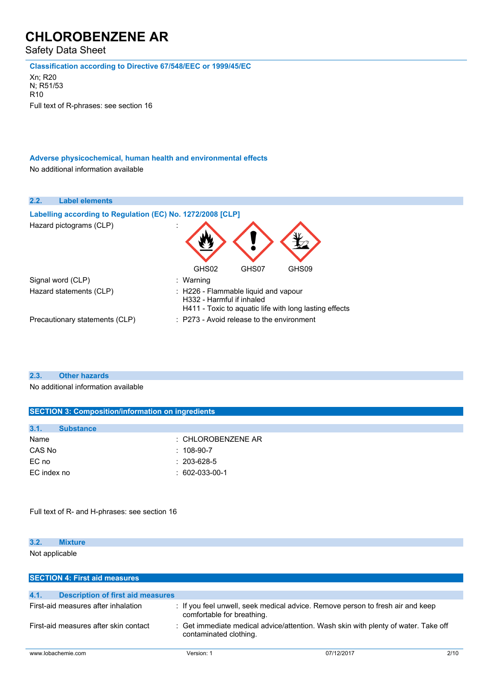Safety Data Sheet

**Classification according to Directive 67/548/EEC or 1999/45/EC**

Xn; R20 N; R51/53 R10 Full text of R-phrases: see section 16

**Adverse physicochemical, human health and environmental effects** No additional information available

| 2.2.<br><b>Label elements</b>                              |                                                                                                                             |
|------------------------------------------------------------|-----------------------------------------------------------------------------------------------------------------------------|
| Labelling according to Regulation (EC) No. 1272/2008 [CLP] |                                                                                                                             |
| Hazard pictograms (CLP)                                    | GHS02<br>GHS07<br>GHS09                                                                                                     |
| Signal word (CLP)                                          | : Warning                                                                                                                   |
| Hazard statements (CLP)                                    | : H226 - Flammable liquid and vapour<br>H332 - Harmful if inhaled<br>H411 - Toxic to aquatic life with long lasting effects |
| Precautionary statements (CLP)                             | $\therefore$ P273 - Avoid release to the environment                                                                        |

### **2.3. Other hazards**

No additional information available

| <b>SECTION 3: Composition/information on ingredients</b> |                               |  |  |
|----------------------------------------------------------|-------------------------------|--|--|
|                                                          |                               |  |  |
| 3.1.<br><b>Substance</b>                                 |                               |  |  |
| Name                                                     | $\therefore$ CHLOROBENZENE AR |  |  |
| CAS No                                                   | $: 108-90-7$                  |  |  |
| EC no                                                    | $: 203 - 628 - 5$             |  |  |
| EC index no                                              | $: 602-033-00-1$              |  |  |
|                                                          |                               |  |  |

Full text of R- and H-phrases: see section 16

| 3.2.           | <b>xture</b> |  |  |  |
|----------------|--------------|--|--|--|
| Not applicable |              |  |  |  |

| <b>SECTION 4: First aid measures</b>                                                                                                                  |            |            |      |
|-------------------------------------------------------------------------------------------------------------------------------------------------------|------------|------------|------|
|                                                                                                                                                       |            |            |      |
| 4.1.<br><b>Description of first aid measures</b>                                                                                                      |            |            |      |
| First-aid measures after inhalation<br>: If you feel unwell, seek medical advice. Remove person to fresh air and keep<br>comfortable for breathing.   |            |            |      |
| : Get immediate medical advice/attention. Wash skin with plenty of water. Take off<br>First-aid measures after skin contact<br>contaminated clothing. |            |            |      |
| www.lobachemie.com                                                                                                                                    | Version: 1 | 07/12/2017 | 2/10 |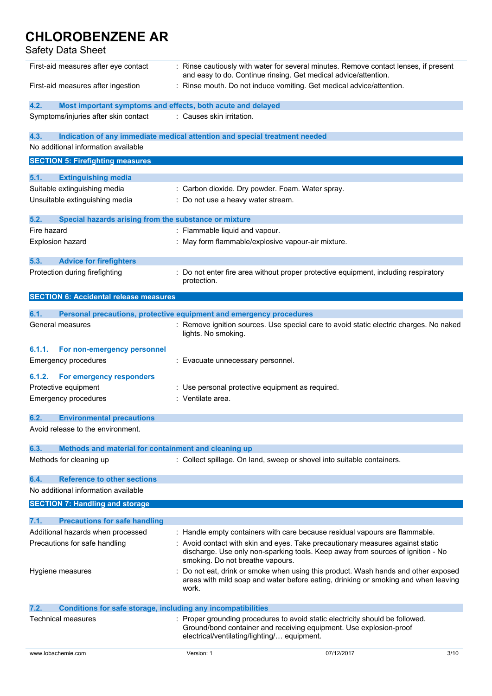### Safety Data Sheet

| First-aid measures after eye contact                                                    | : Rinse cautiously with water for several minutes. Remove contact lenses, if present<br>and easy to do. Continue rinsing. Get medical advice/attention. |                                                                                                                                                                        |
|-----------------------------------------------------------------------------------------|---------------------------------------------------------------------------------------------------------------------------------------------------------|------------------------------------------------------------------------------------------------------------------------------------------------------------------------|
| First-aid measures after ingestion                                                      | : Rinse mouth. Do not induce vomiting. Get medical advice/attention.                                                                                    |                                                                                                                                                                        |
| 4.2.<br>Most important symptoms and effects, both acute and delayed                     |                                                                                                                                                         |                                                                                                                                                                        |
| Symptoms/injuries after skin contact                                                    | : Causes skin irritation.                                                                                                                               |                                                                                                                                                                        |
| 4.3.                                                                                    | Indication of any immediate medical attention and special treatment needed                                                                              |                                                                                                                                                                        |
| No additional information available                                                     |                                                                                                                                                         |                                                                                                                                                                        |
| <b>SECTION 5: Firefighting measures</b>                                                 |                                                                                                                                                         |                                                                                                                                                                        |
| 5.1.<br><b>Extinguishing media</b>                                                      |                                                                                                                                                         |                                                                                                                                                                        |
| Suitable extinguishing media                                                            | : Carbon dioxide. Dry powder. Foam. Water spray.                                                                                                        |                                                                                                                                                                        |
| Unsuitable extinguishing media                                                          | : Do not use a heavy water stream.                                                                                                                      |                                                                                                                                                                        |
|                                                                                         |                                                                                                                                                         |                                                                                                                                                                        |
| 5.2.<br>Special hazards arising from the substance or mixture                           |                                                                                                                                                         |                                                                                                                                                                        |
| Fire hazard                                                                             | : Flammable liquid and vapour.                                                                                                                          |                                                                                                                                                                        |
| <b>Explosion hazard</b>                                                                 | : May form flammable/explosive vapour-air mixture.                                                                                                      |                                                                                                                                                                        |
| 5.3.<br><b>Advice for firefighters</b>                                                  |                                                                                                                                                         |                                                                                                                                                                        |
| Protection during firefighting                                                          | : Do not enter fire area without proper protective equipment, including respiratory                                                                     |                                                                                                                                                                        |
|                                                                                         | protection.                                                                                                                                             |                                                                                                                                                                        |
| <b>SECTION 6: Accidental release measures</b>                                           |                                                                                                                                                         |                                                                                                                                                                        |
| 6.1.                                                                                    | Personal precautions, protective equipment and emergency procedures                                                                                     |                                                                                                                                                                        |
| General measures                                                                        |                                                                                                                                                         | Remove ignition sources. Use special care to avoid static electric charges. No naked                                                                                   |
|                                                                                         | lights. No smoking.                                                                                                                                     |                                                                                                                                                                        |
| 6.1.1.<br>For non-emergency personnel                                                   |                                                                                                                                                         |                                                                                                                                                                        |
| Emergency procedures                                                                    | : Evacuate unnecessary personnel.                                                                                                                       |                                                                                                                                                                        |
|                                                                                         |                                                                                                                                                         |                                                                                                                                                                        |
| 6.1.2.<br>For emergency responders                                                      |                                                                                                                                                         |                                                                                                                                                                        |
| Protective equipment<br><b>Emergency procedures</b>                                     | Use personal protective equipment as required.<br>: Ventilate area.                                                                                     |                                                                                                                                                                        |
|                                                                                         |                                                                                                                                                         |                                                                                                                                                                        |
| <b>Environmental precautions</b><br>6.2.                                                |                                                                                                                                                         |                                                                                                                                                                        |
| Avoid release to the environment.                                                       |                                                                                                                                                         |                                                                                                                                                                        |
|                                                                                         |                                                                                                                                                         |                                                                                                                                                                        |
| 6.3.<br>Methods and material for containment and cleaning up<br>Methods for cleaning up | : Collect spillage. On land, sweep or shovel into suitable containers.                                                                                  |                                                                                                                                                                        |
|                                                                                         |                                                                                                                                                         |                                                                                                                                                                        |
| <b>Reference to other sections</b><br>6.4.                                              |                                                                                                                                                         |                                                                                                                                                                        |
| No additional information available                                                     |                                                                                                                                                         |                                                                                                                                                                        |
| <b>SECTION 7: Handling and storage</b>                                                  |                                                                                                                                                         |                                                                                                                                                                        |
| 7.1.<br><b>Precautions for safe handling</b>                                            |                                                                                                                                                         |                                                                                                                                                                        |
| Additional hazards when processed                                                       | : Handle empty containers with care because residual vapours are flammable.                                                                             |                                                                                                                                                                        |
| Precautions for safe handling                                                           | : Avoid contact with skin and eyes. Take precautionary measures against static                                                                          |                                                                                                                                                                        |
|                                                                                         | discharge. Use only non-sparking tools. Keep away from sources of ignition - No<br>smoking. Do not breathe vapours.                                     |                                                                                                                                                                        |
| Hygiene measures                                                                        |                                                                                                                                                         | Do not eat, drink or smoke when using this product. Wash hands and other exposed<br>areas with mild soap and water before eating, drinking or smoking and when leaving |
|                                                                                         | work.                                                                                                                                                   |                                                                                                                                                                        |
| 7.2.<br><b>Conditions for safe storage, including any incompatibilities</b>             |                                                                                                                                                         |                                                                                                                                                                        |
| Technical measures                                                                      | : Proper grounding procedures to avoid static electricity should be followed.                                                                           |                                                                                                                                                                        |
|                                                                                         | Ground/bond container and receiving equipment. Use explosion-proof<br>electrical/ventilating/lighting/ equipment.                                       |                                                                                                                                                                        |
| www.lobachemie.com                                                                      | Version: 1                                                                                                                                              | 07/12/2017<br>3/10                                                                                                                                                     |

Í,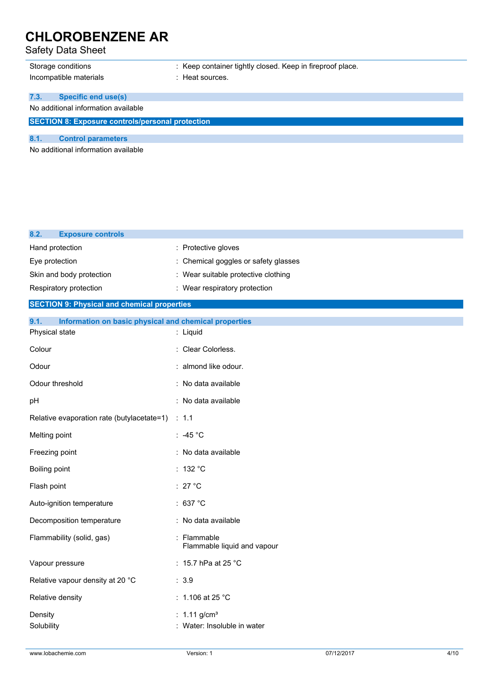### Safety Data Sheet

| Storage conditions<br>Incompatible materials            | : Keep container tightly closed. Keep in fireproof place.<br>: Heat sources. |  |
|---------------------------------------------------------|------------------------------------------------------------------------------|--|
| <b>Specific end use(s)</b><br>7.3.                      |                                                                              |  |
| No additional information available                     |                                                                              |  |
| <b>SECTION 8: Exposure controls/personal protection</b> |                                                                              |  |
| <b>Control parameters</b><br>8.1.                       |                                                                              |  |
| No additional information available                     |                                                                              |  |

| 8.2.<br><b>Exposure controls</b>                              |                                                           |
|---------------------------------------------------------------|-----------------------------------------------------------|
| Hand protection                                               | : Protective gloves                                       |
| Eye protection                                                | Chemical goggles or safety glasses                        |
| Skin and body protection                                      | : Wear suitable protective clothing                       |
| Respiratory protection                                        | : Wear respiratory protection                             |
| <b>SECTION 9: Physical and chemical properties</b>            |                                                           |
| 9.1.<br>Information on basic physical and chemical properties |                                                           |
| Physical state                                                | : Liquid                                                  |
| Colour                                                        | : Clear Colorless.                                        |
| Odour                                                         | : almond like odour.                                      |
| Odour threshold                                               | : No data available                                       |
| pH                                                            | : No data available                                       |
| Relative evaporation rate (butylacetate=1)                    | : 1.1                                                     |
| Melting point                                                 | ∶ -45 °C                                                  |
| Freezing point                                                | : No data available                                       |
| Boiling point                                                 | :132 °C                                                   |
| Flash point                                                   | : 27 $^{\circ}$ C                                         |
| Auto-ignition temperature                                     | : 637 °C                                                  |
| Decomposition temperature                                     | : No data available                                       |
| Flammability (solid, gas)                                     | Flammable<br>Flammable liquid and vapour                  |
| Vapour pressure                                               | : 15.7 hPa at 25 °C                                       |
| Relative vapour density at 20 °C                              | : 3.9                                                     |
| Relative density                                              | : 1.106 at 25 $^{\circ}$ C                                |
| Density<br>Solubility                                         | : $1.11$ g/cm <sup>3</sup><br>: Water: Insoluble in water |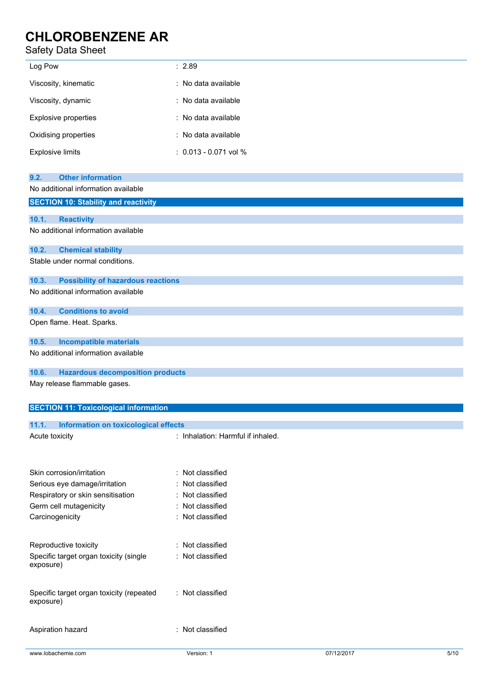### Safety Data Sheet

| Log Pow                 | : 2.89                    |
|-------------------------|---------------------------|
| Viscosity, kinematic    | : No data available       |
| Viscosity, dynamic      | : No data available       |
| Explosive properties    | : No data available       |
| Oxidising properties    | : No data available       |
| <b>Explosive limits</b> | $: 0.013 - 0.071$ vol $%$ |

| 9.2.           | <b>Other information</b>                     |                                   |
|----------------|----------------------------------------------|-----------------------------------|
|                | No additional information available          |                                   |
|                | <b>SECTION 10: Stability and reactivity</b>  |                                   |
|                |                                              |                                   |
| 10.1.          | <b>Reactivity</b>                            |                                   |
|                | No additional information available          |                                   |
|                |                                              |                                   |
| 10.2.          | <b>Chemical stability</b>                    |                                   |
|                | Stable under normal conditions.              |                                   |
|                |                                              |                                   |
| 10.3.          | <b>Possibility of hazardous reactions</b>    |                                   |
|                | No additional information available          |                                   |
|                |                                              |                                   |
| 10.4.          | <b>Conditions to avoid</b>                   |                                   |
|                | Open flame. Heat. Sparks.                    |                                   |
|                |                                              |                                   |
| 10.5.          | <b>Incompatible materials</b>                |                                   |
|                | No additional information available          |                                   |
|                |                                              |                                   |
| 10.6.          | <b>Hazardous decomposition products</b>      |                                   |
|                | May release flammable gases.                 |                                   |
|                |                                              |                                   |
|                |                                              |                                   |
|                | <b>SECTION 11: Toxicological information</b> |                                   |
| 11.1.          | <b>Information on toxicological effects</b>  |                                   |
| Acute toxicity |                                              | : Inhalation: Harmful if inhaled. |
|                |                                              |                                   |

www.lobachemie.com **Version: 1** 07/12/2017 5/10 Skin corrosion/irritation : Not classified Serious eye damage/irritation : Not classified Respiratory or skin sensitisation : Not classified Germ cell mutagenicity **in the COV** classified Carcinogenicity **Carcinogenicity** : Not classified Reproductive toxicity **in the COV** Reproductive toxicity **in the COV** Reproductive toxicity Specific target organ toxicity (single exposure) : Not classified Specific target organ toxicity (repeated exposure) : Not classified Aspiration hazard **in the set of the set of the set of the set of the set of the set of the set of the set of the set of the set of the set of the set of the set of the set of the set of the set of the set of the set of th**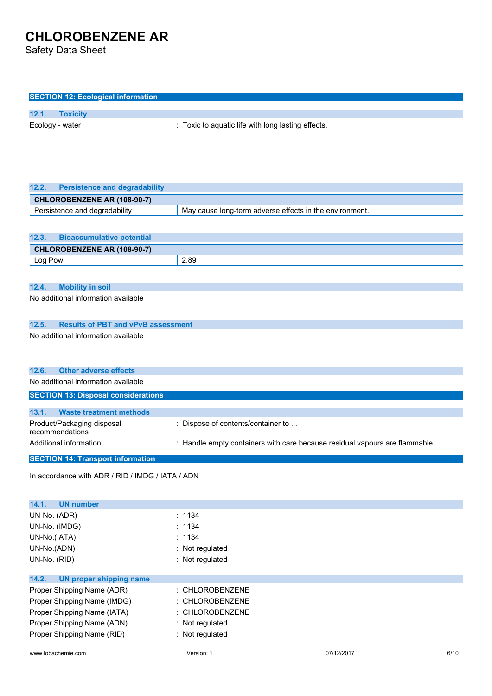Safety Data Sheet

| <b>SECTION 12: Ecological information</b>                                                 |                                                                             |
|-------------------------------------------------------------------------------------------|-----------------------------------------------------------------------------|
| 12.1.<br><b>Toxicity</b>                                                                  |                                                                             |
| Ecology - water                                                                           | : Toxic to aquatic life with long lasting effects.                          |
|                                                                                           |                                                                             |
|                                                                                           |                                                                             |
|                                                                                           |                                                                             |
|                                                                                           |                                                                             |
| <b>Persistence and degradability</b><br>12.2.                                             |                                                                             |
| CHLOROBENZENE AR (108-90-7)                                                               |                                                                             |
| Persistence and degradability                                                             | May cause long-term adverse effects in the environment.                     |
|                                                                                           |                                                                             |
| <b>Bioaccumulative potential</b><br>12.3.                                                 |                                                                             |
| CHLOROBENZENE AR (108-90-7)                                                               |                                                                             |
| Log Pow                                                                                   | 2.89                                                                        |
|                                                                                           |                                                                             |
| <b>Mobility in soil</b><br>12.4.                                                          |                                                                             |
| No additional information available                                                       |                                                                             |
|                                                                                           |                                                                             |
|                                                                                           |                                                                             |
| <b>Results of PBT and vPvB assessment</b><br>12.5.<br>No additional information available |                                                                             |
|                                                                                           |                                                                             |
|                                                                                           |                                                                             |
| <b>Other adverse effects</b><br>12.6.                                                     |                                                                             |
| No additional information available                                                       |                                                                             |
| <b>SECTION 13: Disposal considerations</b>                                                |                                                                             |
|                                                                                           |                                                                             |
| <b>Waste treatment methods</b><br>13.1.                                                   |                                                                             |
| Product/Packaging disposal<br>recommendations                                             | : Dispose of contents/container to                                          |
| Additional information                                                                    | : Handle empty containers with care because residual vapours are flammable. |
|                                                                                           |                                                                             |
| <b>SECTION 14: Transport information</b>                                                  |                                                                             |
| In accordance with ADR / RID / IMDG / IATA / ADN                                          |                                                                             |
|                                                                                           |                                                                             |
| <b>UN number</b><br>14.1.                                                                 |                                                                             |
| UN-No. (ADR)                                                                              | : 1134                                                                      |
| UN-No. (IMDG)                                                                             | : 1134                                                                      |
| UN-No.(IATA)                                                                              | : 1134                                                                      |
| UN-No.(ADN)                                                                               | : Not regulated                                                             |
| UN-No. (RID)                                                                              | : Not regulated                                                             |
| 14.2.                                                                                     |                                                                             |
| <b>UN proper shipping name</b><br>Proper Shipping Name (ADR)                              | : CHLOROBENZENE                                                             |
| Proper Shipping Name (IMDG)                                                               | : CHLOROBENZENE                                                             |
|                                                                                           |                                                                             |

Proper Shipping Name (IATA) : CHLOROBENZENE Proper Shipping Name (ADN) : Not regulated Proper Shipping Name (RID) : Not regulated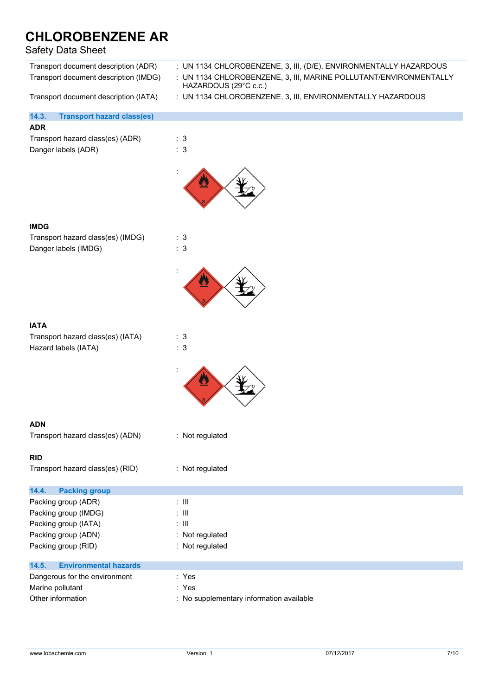### Safety Data Sheet

| Transport document description (ADR)<br>Transport document description (IMDG) | : UN 1134 CHLOROBENZENE, 3, III, (D/E), ENVIRONMENTALLY HAZARDOUS<br>: UN 1134 CHLOROBENZENE, 3, III, MARINE POLLUTANT/ENVIRONMENTALLY<br>HAZARDOUS (29°C c.c.) |  |  |  |
|-------------------------------------------------------------------------------|-----------------------------------------------------------------------------------------------------------------------------------------------------------------|--|--|--|
| Transport document description (IATA)                                         | : UN 1134 CHLOROBENZENE, 3, III, ENVIRONMENTALLY HAZARDOUS                                                                                                      |  |  |  |
| <b>Transport hazard class(es)</b><br>14.3.                                    |                                                                                                                                                                 |  |  |  |
| <b>ADR</b>                                                                    |                                                                                                                                                                 |  |  |  |
| Transport hazard class(es) (ADR)                                              | : 3                                                                                                                                                             |  |  |  |
| Danger labels (ADR)                                                           | : 3                                                                                                                                                             |  |  |  |
|                                                                               |                                                                                                                                                                 |  |  |  |
| <b>IMDG</b>                                                                   |                                                                                                                                                                 |  |  |  |
| Transport hazard class(es) (IMDG)                                             | : 3                                                                                                                                                             |  |  |  |
| Danger labels (IMDG)                                                          | : 3                                                                                                                                                             |  |  |  |
|                                                                               |                                                                                                                                                                 |  |  |  |
|                                                                               |                                                                                                                                                                 |  |  |  |
| <b>IATA</b>                                                                   |                                                                                                                                                                 |  |  |  |
| Transport hazard class(es) (IATA)                                             | : 3                                                                                                                                                             |  |  |  |
| Hazard labels (IATA)                                                          | : 3                                                                                                                                                             |  |  |  |
|                                                                               |                                                                                                                                                                 |  |  |  |
|                                                                               |                                                                                                                                                                 |  |  |  |
| <b>ADN</b>                                                                    |                                                                                                                                                                 |  |  |  |
| Transport hazard class(es) (ADN)                                              | : Not regulated                                                                                                                                                 |  |  |  |
| <b>RID</b>                                                                    |                                                                                                                                                                 |  |  |  |
| Transport hazard class(es) (RID)                                              | : Not regulated                                                                                                                                                 |  |  |  |
| 14.4.<br><b>Packing group</b>                                                 |                                                                                                                                                                 |  |  |  |
| Packing group (ADR)                                                           | $: \mathsf{III}$                                                                                                                                                |  |  |  |
| Packing group (IMDG)                                                          | $:$ $\mathbb H$                                                                                                                                                 |  |  |  |
| Packing group (IATA)                                                          | $: \mathbb{H}$                                                                                                                                                  |  |  |  |
| Packing group (ADN)                                                           | : Not regulated                                                                                                                                                 |  |  |  |
| Packing group (RID)                                                           | : Not regulated                                                                                                                                                 |  |  |  |
| 14.5.<br><b>Environmental hazards</b>                                         |                                                                                                                                                                 |  |  |  |
| Dangerous for the environment                                                 | : Yes                                                                                                                                                           |  |  |  |
| Marine pollutant                                                              | : Yes                                                                                                                                                           |  |  |  |
| Other information                                                             | : No supplementary information available                                                                                                                        |  |  |  |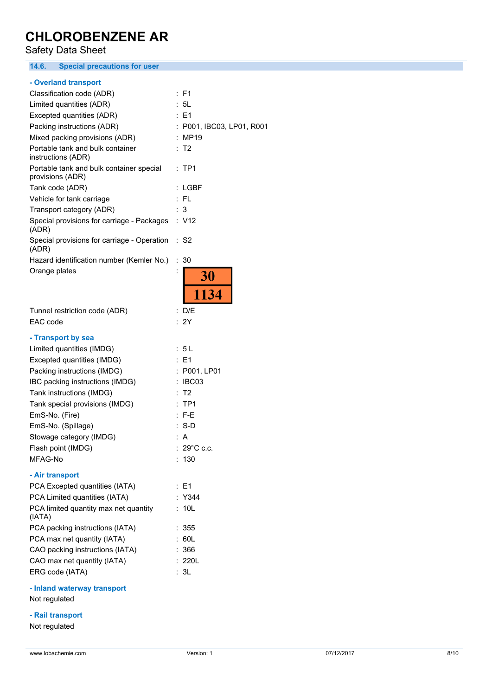**CHLOROBENZENE AR** Safety Data Sheet **14.6. Special precautions for user - Overland transport** Classification code (ADR) : F1 Limited quantities (ADR) : 5L Excepted quantities (ADR) : E1 Packing instructions (ADR) : P001, IBC03, LP01, R001 Mixed packing provisions (ADR) : MP19 Portable tank and bulk container : T2 instructions (ADR) Portable tank and bulk container special : TP1 provisions (ADR) Tank code (ADR) : LGBF Vehicle for tank carriage : FL Transport category (ADR) : 3 Special provisions for carriage - Packages : V12 (ADR) Special provisions for carriage - Operation : S2 (ADR) Hazard identification number (Kemler No.) : 30 Orange plates 30 1134 Tunnel restriction code (ADR) : D/E EAC code : 2Y **- Transport by sea** Limited quantities (IMDG) : 5 L Excepted quantities (IMDG) : E1 Packing instructions (IMDG) : P001, LP01 IBC packing instructions (IMDG) : IBC03 Tank instructions (IMDG) : T2 Tank special provisions (IMDG) : TP1 EmS-No. (Fire) : F-E EmS-No. (Spillage) : S-D

#### Stowage category (IMDG)  $\qquad \qquad$ : A Flash point (IMDG) : 29°C c.c. MFAG-No : 130 **- Air transport** PCA Excepted quantities (IATA) : E1 PCA Limited quantities (IATA) : Y344 PCA limited quantity max net quantity (IATA) : 10L PCA packing instructions (IATA) : 355 PCA max net quantity (IATA) : 60L CAO packing instructions (IATA) : 366 CAO max net quantity (IATA) : 220L

ERG code (IATA) : 3L

**- Inland waterway transport**

Not regulated

**- Rail transport**

Not regulated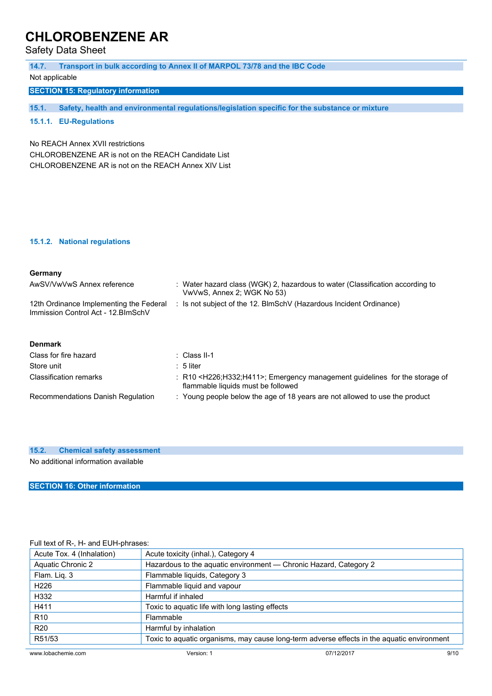Safety Data Sheet

| 14.7.                                                                                   | Transport in bulk according to Annex II of MARPOL 73/78 and the IBC Code                                    |
|-----------------------------------------------------------------------------------------|-------------------------------------------------------------------------------------------------------------|
| Not applicable                                                                          |                                                                                                             |
| <b>SECTION 15: Regulatory information</b>                                               |                                                                                                             |
|                                                                                         |                                                                                                             |
| 15.1.                                                                                   | Safety, health and environmental regulations/legislation specific for the substance or mixture              |
| 15.1.1. EU-Regulations                                                                  |                                                                                                             |
| No REACH Annex XVII restrictions<br>CHLOROBENZENE AR is not on the REACH Candidate List |                                                                                                             |
| CHLOROBENZENE AR is not on the REACH Annex XIV List                                     |                                                                                                             |
|                                                                                         |                                                                                                             |
|                                                                                         |                                                                                                             |
|                                                                                         |                                                                                                             |
| 15.1.2. National regulations                                                            |                                                                                                             |
| Germany                                                                                 |                                                                                                             |
| AwSV/VwVwS Annex reference                                                              | : Water hazard class (WGK) 2, hazardous to water (Classification according to<br>VwVwS, Annex 2; WGK No 53) |
| 12th Ordinance Implementing the Federal<br>Immission Control Act - 12. BlmSchV          | : Is not subject of the 12. BlmSchV (Hazardous Incident Ordinance)                                          |
|                                                                                         |                                                                                                             |
| <b>Denmark</b>                                                                          |                                                                                                             |
| Class for fire hazard                                                                   | $\therefore$ Class II-1                                                                                     |
| Store unit                                                                              | $: 5$ liter                                                                                                 |
| <b>Classification remarks</b>                                                           | R10 <h226;h332;h411>; Emergency management guidelines for the storag</h226;h332;h411>                       |

| Classification remarks            | $\pm$ R10 <h226;h332;h411>; Emergency management guidelines for the storage of<br/>flammable liquids must be followed</h226;h332;h411> |
|-----------------------------------|----------------------------------------------------------------------------------------------------------------------------------------|
| Recommendations Danish Regulation | Young people below the age of 18 years are not allowed to use the product                                                              |

### **15.2. Chemical safety assessment**

No additional information available

### **SECTION 16: Other information**

#### Full text of R-, H- and EUH-phrases:

| Acute Tox. 4 (Inhalation) | Acute toxicity (inhal.), Category 4                                                        |            |      |
|---------------------------|--------------------------------------------------------------------------------------------|------------|------|
| <b>Aquatic Chronic 2</b>  | Hazardous to the aquatic environment - Chronic Hazard, Category 2                          |            |      |
| Flam. Liq. 3              | Flammable liquids, Category 3                                                              |            |      |
| H <sub>226</sub>          | Flammable liquid and vapour                                                                |            |      |
| H332                      | Harmful if inhaled                                                                         |            |      |
| H411                      | Toxic to aquatic life with long lasting effects                                            |            |      |
| R <sub>10</sub>           | Flammable                                                                                  |            |      |
| <b>R20</b>                | Harmful by inhalation                                                                      |            |      |
| R51/53                    | Toxic to aquatic organisms, may cause long-term adverse effects in the aquatic environment |            |      |
| www.lobachemie.com        | Version: 1                                                                                 | 07/12/2017 | 9/10 |